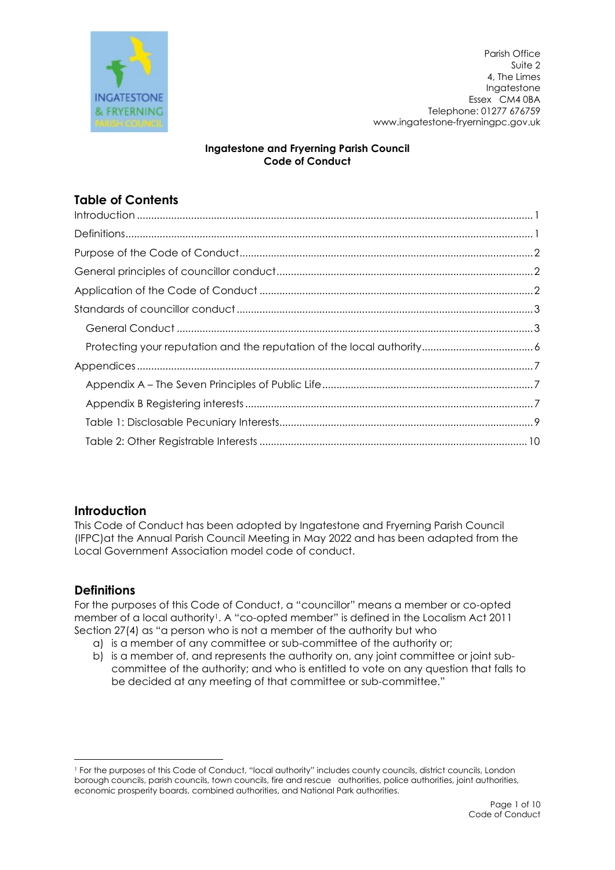

Parish Office Suite 2 4, The Limes Ingatestone Essex CM4 0BA Telephone: 01277 676759 www.ingatestone-fryerningpc.gov.uk

## Ingatestone and Fryerning Parish Council Code of Conduct

# Table of Contents

# **Introduction**

This Code of Conduct has been adopted by Ingatestone and Fryerning Parish Council (IFPC)at the Annual Parish Council Meeting in May 2022 and has been adapted from the Local Government Association model code of conduct.

# **Definitions**

For the purposes of this Code of Conduct, a "councillor" means a member or co-opted member of a local authority<sup>1</sup>. A "co-opted member" is defined in the Localism Act 2011 Section 27(4) as "a person who is not a member of the authority but who

- a) is a member of any committee or sub-committee of the authority or;
- b) is a member of, and represents the authority on, any joint committee or joint subcommittee of the authority; and who is entitled to vote on any question that falls to be decided at any meeting of that committee or sub-committee."

<sup>1</sup> For the purposes of this Code of Conduct, "local authority" includes county councils, district councils, London borough councils, parish councils, town councils, fire and rescue authorities, police authorities, joint authorities, economic prosperity boards, combined authorities, and National Park authorities.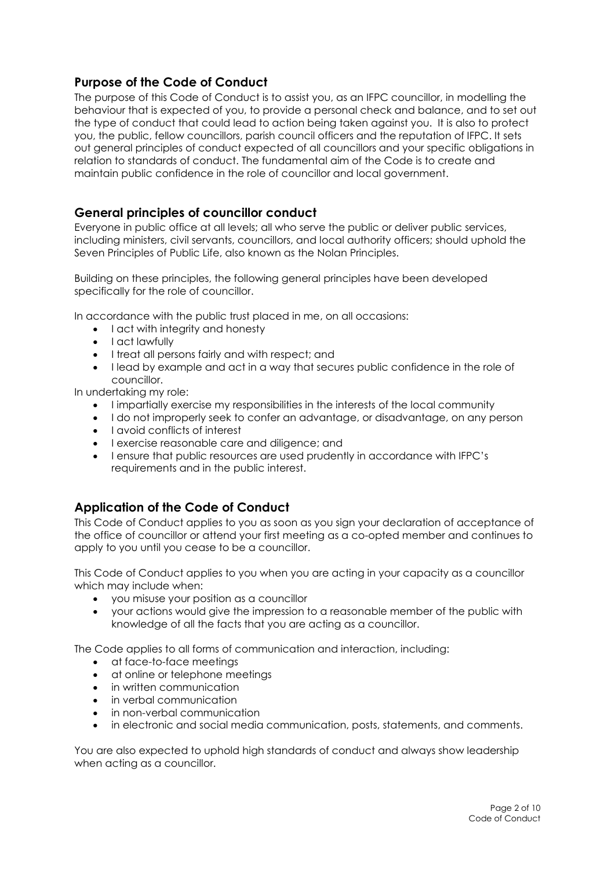# Purpose of the Code of Conduct

The purpose of this Code of Conduct is to assist you, as an IFPC councillor, in modelling the behaviour that is expected of you, to provide a personal check and balance, and to set out the type of conduct that could lead to action being taken against you. It is also to protect you, the public, fellow councillors, parish council officers and the reputation of IFPC. It sets out general principles of conduct expected of all councillors and your specific obligations in relation to standards of conduct. The fundamental aim of the Code is to create and maintain public confidence in the role of councillor and local government.

## General principles of councillor conduct

Everyone in public office at all levels; all who serve the public or deliver public services, including ministers, civil servants, councillors, and local authority officers; should uphold the Seven Principles of Public Life, also known as the Nolan Principles.

Building on these principles, the following general principles have been developed specifically for the role of councillor.

In accordance with the public trust placed in me, on all occasions:

- I act with integrity and honesty
- I act lawfully
- I treat all persons fairly and with respect; and
- I lead by example and act in a way that secures public confidence in the role of councillor.

In undertaking my role:

- I impartially exercise my responsibilities in the interests of the local community
- I do not improperly seek to confer an advantage, or disadvantage, on any person
- I avoid conflicts of interest
- I exercise reasonable care and diligence; and
- I ensure that public resources are used prudently in accordance with IFPC's requirements and in the public interest.

## Application of the Code of Conduct

This Code of Conduct applies to you as soon as you sign your declaration of acceptance of the office of councillor or attend your first meeting as a co-opted member and continues to apply to you until you cease to be a councillor.

This Code of Conduct applies to you when you are acting in your capacity as a councillor which may include when:

- you misuse your position as a councillor
- your actions would give the impression to a reasonable member of the public with knowledge of all the facts that you are acting as a councillor.

The Code applies to all forms of communication and interaction, including:

- at face-to-face meetings
- at online or telephone meetings
- in written communication
- in verbal communication
- in non-verbal communication
- in electronic and social media communication, posts, statements, and comments.

You are also expected to uphold high standards of conduct and always show leadership when acting as a councillor.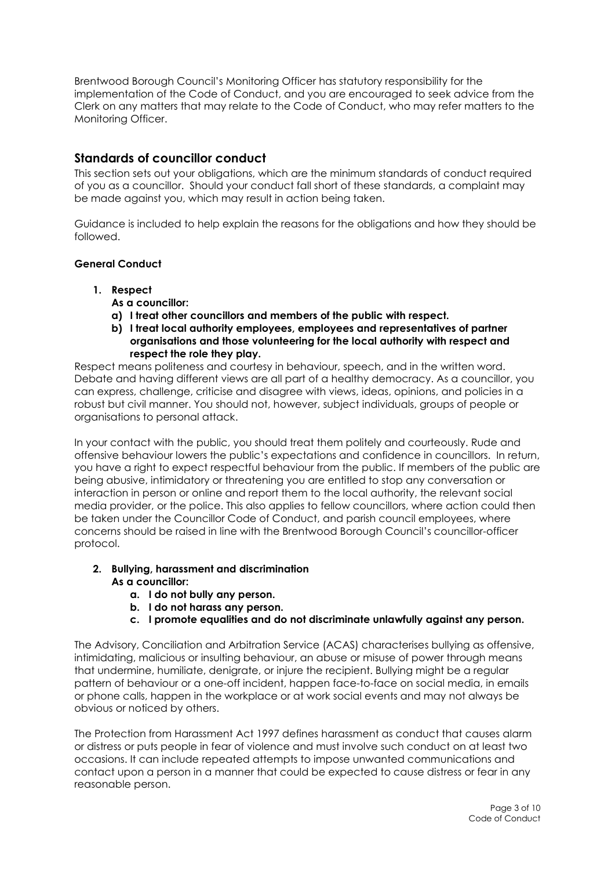Brentwood Borough Council's Monitoring Officer has statutory responsibility for the implementation of the Code of Conduct, and you are encouraged to seek advice from the Clerk on any matters that may relate to the Code of Conduct, who may refer matters to the Monitoring Officer.

## Standards of councillor conduct

This section sets out your obligations, which are the minimum standards of conduct required of you as a councillor. Should your conduct fall short of these standards, a complaint may be made against you, which may result in action being taken.

Guidance is included to help explain the reasons for the obligations and how they should be followed.

## General Conduct

- 1. Respect
	- As a councillor:
	- a) I treat other councillors and members of the public with respect.
	- b) I treat local authority employees, employees and representatives of partner organisations and those volunteering for the local authority with respect and respect the role they play.

Respect means politeness and courtesy in behaviour, speech, and in the written word. Debate and having different views are all part of a healthy democracy. As a councillor, you can express, challenge, criticise and disagree with views, ideas, opinions, and policies in a robust but civil manner. You should not, however, subject individuals, groups of people or organisations to personal attack.

In your contact with the public, you should treat them politely and courteously. Rude and offensive behaviour lowers the public's expectations and confidence in councillors. In return, you have a right to expect respectful behaviour from the public. If members of the public are being abusive, intimidatory or threatening you are entitled to stop any conversation or interaction in person or online and report them to the local authority, the relevant social media provider, or the police. This also applies to fellow councillors, where action could then be taken under the Councillor Code of Conduct, and parish council employees, where concerns should be raised in line with the Brentwood Borough Council's councillor-officer protocol.

### 2. Bullying, harassment and discrimination As a councillor:

- a. I do not bully any person.
- b. I do not harass any person.
- c. I promote equalities and do not discriminate unlawfully against any person.

The Advisory, Conciliation and Arbitration Service (ACAS) characterises bullying as offensive, intimidating, malicious or insulting behaviour, an abuse or misuse of power through means that undermine, humiliate, denigrate, or injure the recipient. Bullying might be a regular pattern of behaviour or a one-off incident, happen face-to-face on social media, in emails or phone calls, happen in the workplace or at work social events and may not always be obvious or noticed by others.

The Protection from Harassment Act 1997 defines harassment as conduct that causes alarm or distress or puts people in fear of violence and must involve such conduct on at least two occasions. It can include repeated attempts to impose unwanted communications and contact upon a person in a manner that could be expected to cause distress or fear in any reasonable person.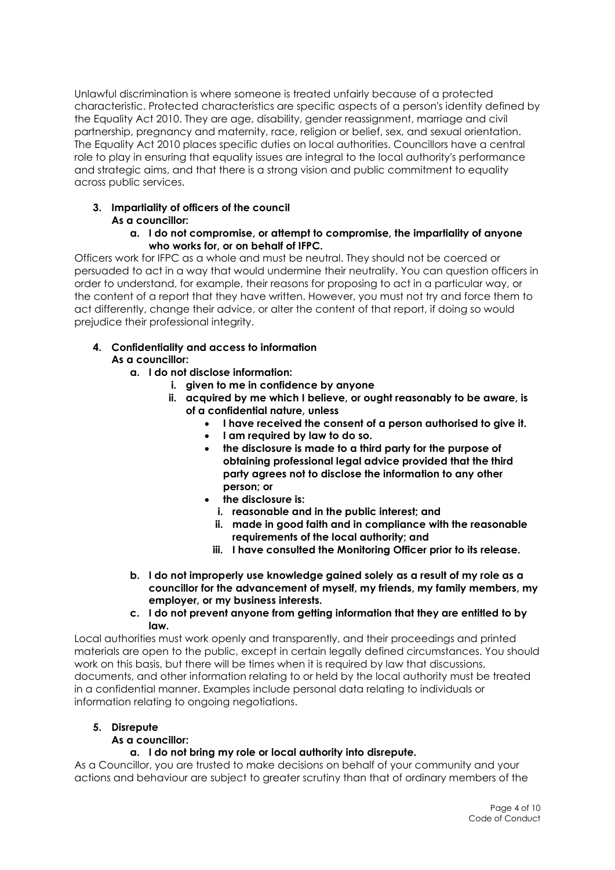Unlawful discrimination is where someone is treated unfairly because of a protected characteristic. Protected characteristics are specific aspects of a person's identity defined by the Equality Act 2010. They are age, disability, gender reassignment, marriage and civil partnership, pregnancy and maternity, race, religion or belief, sex, and sexual orientation. The Equality Act 2010 places specific duties on local authorities. Councillors have a central role to play in ensuring that equality issues are integral to the local authority's performance and strategic aims, and that there is a strong vision and public commitment to equality across public services.

#### 3. Impartiality of officers of the council As a councillor:

#### a. I do not compromise, or attempt to compromise, the impartiality of anyone who works for, or on behalf of IFPC.

Officers work for IFPC as a whole and must be neutral. They should not be coerced or persuaded to act in a way that would undermine their neutrality. You can question officers in order to understand, for example, their reasons for proposing to act in a particular way, or the content of a report that they have written. However, you must not try and force them to act differently, change their advice, or alter the content of that report, if doing so would prejudice their professional integrity.

#### 4. Confidentiality and access to information As a councillor:

- a. I do not disclose information:
	- i. given to me in confidence by anyone
	- ii. acquired by me which I believe, or ought reasonably to be aware, is of a confidential nature, unless
		- I have received the consent of a person authorised to give it.
		- I am required by law to do so.
		- the disclosure is made to a third party for the purpose of obtaining professional legal advice provided that the third party agrees not to disclose the information to any other person; or
		- the disclosure is:
			- i. reasonable and in the public interest; and
			- ii. made in good faith and in compliance with the reasonable requirements of the local authority; and
			- iii. I have consulted the Monitoring Officer prior to its release.
- b. I do not improperly use knowledge gained solely as a result of my role as a councillor for the advancement of myself, my friends, my family members, my employer, or my business interests.
- c. I do not prevent anyone from getting information that they are entitled to by law.

Local authorities must work openly and transparently, and their proceedings and printed materials are open to the public, except in certain legally defined circumstances. You should work on this basis, but there will be times when it is required by law that discussions, documents, and other information relating to or held by the local authority must be treated in a confidential manner. Examples include personal data relating to individuals or information relating to ongoing negotiations.

## 5. Disrepute

### As a councillor:

## a. I do not bring my role or local authority into disrepute.

As a Councillor, you are trusted to make decisions on behalf of your community and your actions and behaviour are subject to greater scrutiny than that of ordinary members of the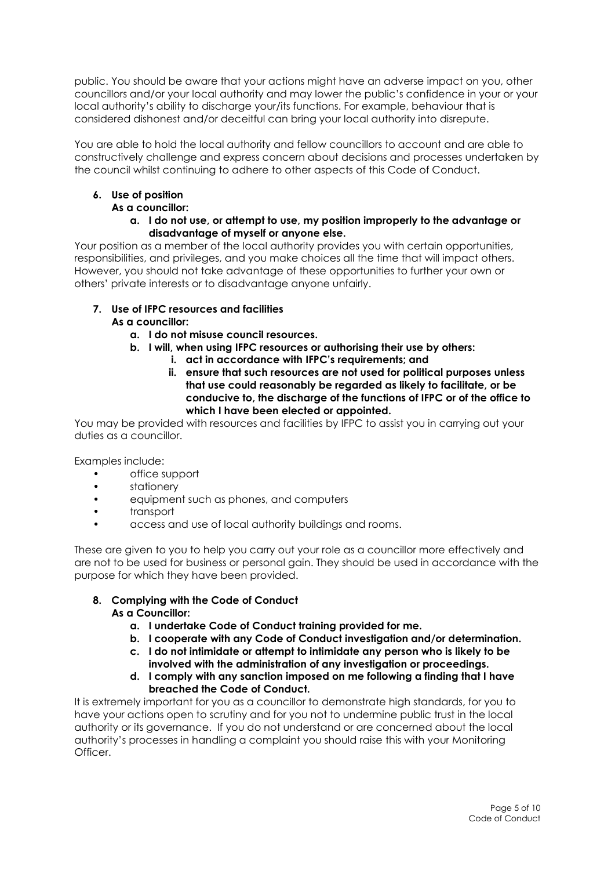public. You should be aware that your actions might have an adverse impact on you, other councillors and/or your local authority and may lower the public's confidence in your or your local authority's ability to discharge your/its functions. For example, behaviour that is considered dishonest and/or deceitful can bring your local authority into disrepute.

You are able to hold the local authority and fellow councillors to account and are able to constructively challenge and express concern about decisions and processes undertaken by the council whilst continuing to adhere to other aspects of this Code of Conduct.

## 6. Use of position

## As a councillor:

a. I do not use, or attempt to use, my position improperly to the advantage or disadvantage of myself or anyone else.

Your position as a member of the local authority provides you with certain opportunities, responsibilities, and privileges, and you make choices all the time that will impact others. However, you should not take advantage of these opportunities to further your own or others' private interests or to disadvantage anyone unfairly.

- 7. Use of IFPC resources and facilities As a councillor:
	- a. I do not misuse council resources.
	- b. I will, when using IFPC resources or authorising their use by others:
		- i. act in accordance with IFPC's requirements; and
		- ii. ensure that such resources are not used for political purposes unless that use could reasonably be regarded as likely to facilitate, or be conducive to, the discharge of the functions of IFPC or of the office to which I have been elected or appointed.

You may be provided with resources and facilities by IFPC to assist you in carrying out your duties as a councillor.

Examples include:

- office support
- stationery
- equipment such as phones, and computers
- transport
- access and use of local authority buildings and rooms.

These are given to you to help you carry out your role as a councillor more effectively and are not to be used for business or personal gain. They should be used in accordance with the purpose for which they have been provided.

### 8. Complying with the Code of Conduct As a Councillor:

- a. I undertake Code of Conduct training provided for me.
- b. I cooperate with any Code of Conduct investigation and/or determination.
- c. I do not intimidate or attempt to intimidate any person who is likely to be involved with the administration of any investigation or proceedings.
- d. I comply with any sanction imposed on me following a finding that I have breached the Code of Conduct.

It is extremely important for you as a councillor to demonstrate high standards, for you to have your actions open to scrutiny and for you not to undermine public trust in the local authority or its governance. If you do not understand or are concerned about the local authority's processes in handling a complaint you should raise this with your Monitoring Officer.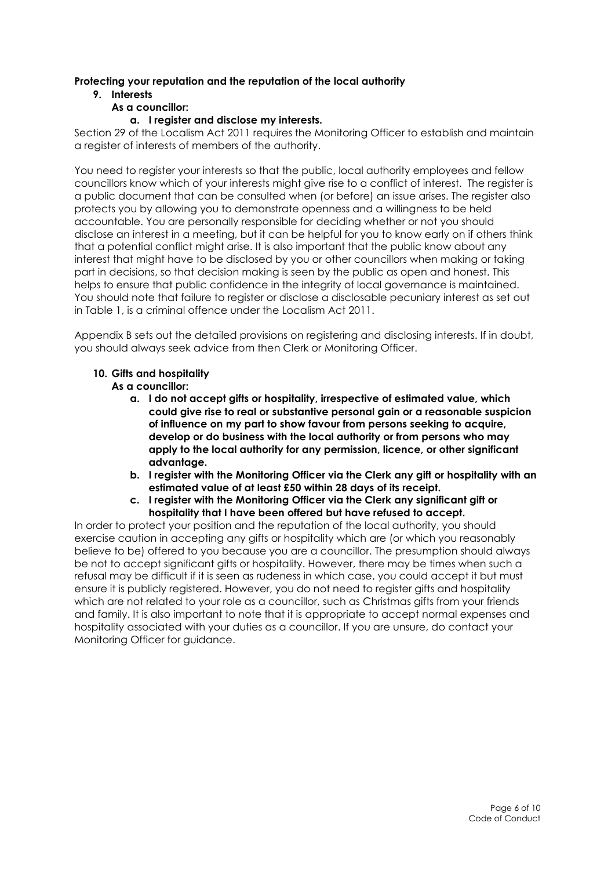## Protecting your reputation and the reputation of the local authority

## 9. Interests

## As a councillor:

## a. I register and disclose my interests.

Section 29 of the Localism Act 2011 requires the Monitoring Officer to establish and maintain a register of interests of members of the authority.

You need to register your interests so that the public, local authority employees and fellow councillors know which of your interests might give rise to a conflict of interest. The register is a public document that can be consulted when (or before) an issue arises. The register also protects you by allowing you to demonstrate openness and a willingness to be held accountable. You are personally responsible for deciding whether or not you should disclose an interest in a meeting, but it can be helpful for you to know early on if others think that a potential conflict might arise. It is also important that the public know about any interest that might have to be disclosed by you or other councillors when making or taking part in decisions, so that decision making is seen by the public as open and honest. This helps to ensure that public confidence in the integrity of local governance is maintained. You should note that failure to register or disclose a disclosable pecuniary interest as set out in Table 1, is a criminal offence under the Localism Act 2011.

Appendix B sets out the detailed provisions on registering and disclosing interests. If in doubt, you should always seek advice from then Clerk or Monitoring Officer.

## 10. Gifts and hospitality

As a councillor:

- a. I do not accept gifts or hospitality, irrespective of estimated value, which could give rise to real or substantive personal gain or a reasonable suspicion of influence on my part to show favour from persons seeking to acquire, develop or do business with the local authority or from persons who may apply to the local authority for any permission, licence, or other significant advantage.
- b. I register with the Monitoring Officer via the Clerk any gift or hospitality with an estimated value of at least £50 within 28 days of its receipt.
- c. I register with the Monitoring Officer via the Clerk any significant gift or hospitality that I have been offered but have refused to accept.

In order to protect your position and the reputation of the local authority, you should exercise caution in accepting any gifts or hospitality which are (or which you reasonably believe to be) offered to you because you are a councillor. The presumption should always be not to accept significant gifts or hospitality. However, there may be times when such a refusal may be difficult if it is seen as rudeness in which case, you could accept it but must ensure it is publicly registered. However, you do not need to register gifts and hospitality which are not related to your role as a councillor, such as Christmas gifts from your friends and family. It is also important to note that it is appropriate to accept normal expenses and hospitality associated with your duties as a councillor. If you are unsure, do contact your Monitoring Officer for guidance.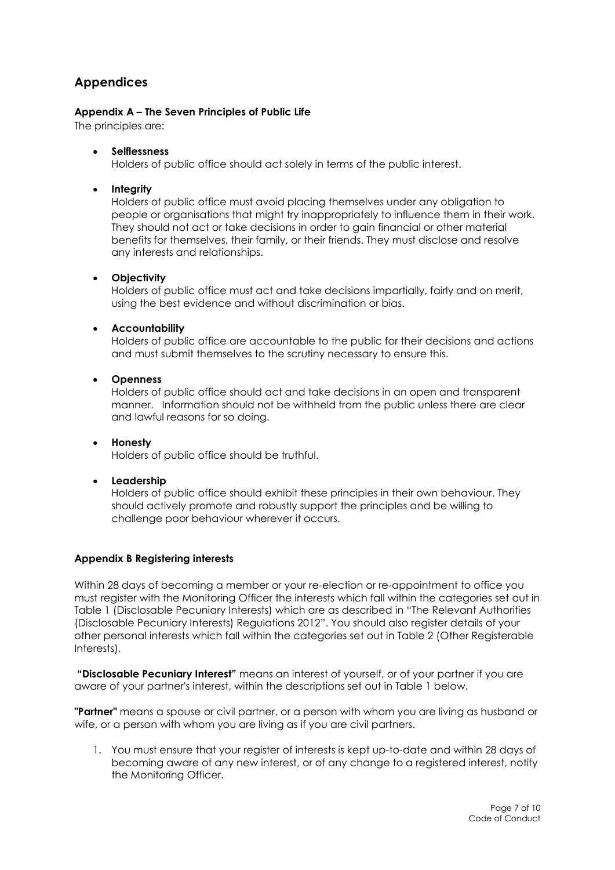# Appendices

### Appendix A – The Seven Principles of Public Life

The principles are:

Selflessness

Holders of public office should act solely in terms of the public interest.

• Integrity

Holders of public office must avoid placing themselves under any obligation to people or organisations that might try inappropriately to influence them in their work. They should not act or take decisions in order to gain financial or other material benefits for themselves, their family, or their friends. They must disclose and resolve any interests and relationships.

#### **•** Objectivity

Holders of public office must act and take decisions impartially, fairly and on merit, using the best evidence and without discrimination or bias.

### Accountability

Holders of public office are accountable to the public for their decisions and actions and must submit themselves to the scrutiny necessary to ensure this.

Openness

Holders of public office should act and take decisions in an open and transparent manner. Information should not be withheld from the public unless there are clear and lawful reasons for so doing.

#### • Honesty Holders of public office should be truthful.

**•** Leadership

Holders of public office should exhibit these principles in their own behaviour. They should actively promote and robustly support the principles and be willing to challenge poor behaviour wherever it occurs.

## Appendix B Registering interests

Within 28 days of becoming a member or your re-election or re-appointment to office you must register with the Monitoring Officer the interests which fall within the categories set out in Table 1 (Disclosable Pecuniary Interests) which are as described in "The Relevant Authorities (Disclosable Pecuniary Interests) Regulations 2012". You should also register details of your other personal interests which fall within the categories set out in Table 2 (Other Registerable Interests).

"Disclosable Pecuniary Interest" means an interest of yourself, or of your partner if you are aware of your partner's interest, within the descriptions set out in Table 1 below.

**"Partner"** means a spouse or civil partner, or a person with whom you are living as husband or wife, or a person with whom you are living as if you are civil partners.

1. You must ensure that your register of interests is kept up-to-date and within 28 days of becoming aware of any new interest, or of any change to a registered interest, notify the Monitoring Officer.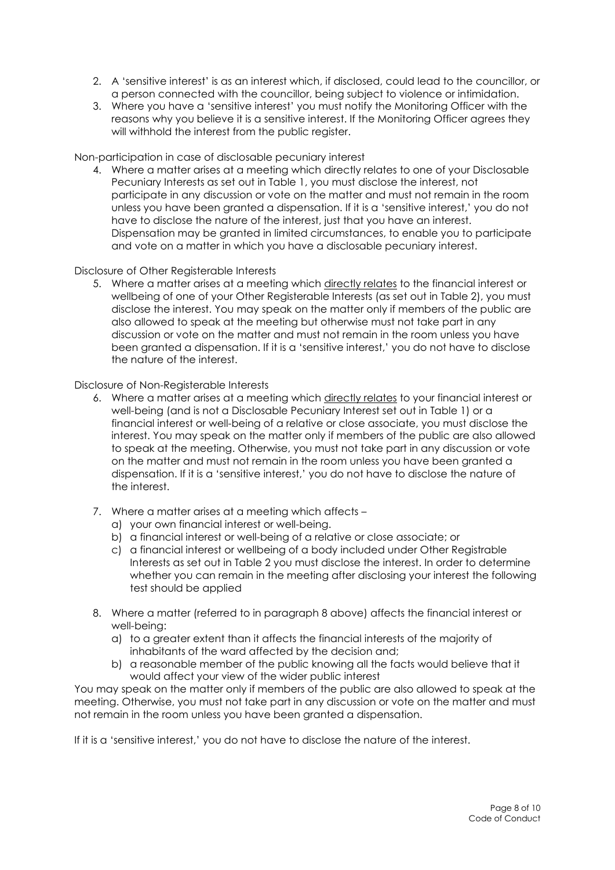- 2. A 'sensitive interest' is as an interest which, if disclosed, could lead to the councillor, or a person connected with the councillor, being subject to violence or intimidation.
- 3. Where you have a 'sensitive interest' you must notify the Monitoring Officer with the reasons why you believe it is a sensitive interest. If the Monitoring Officer agrees they will withhold the interest from the public register.

Non-participation in case of disclosable pecuniary interest

4. Where a matter arises at a meeting which directly relates to one of your Disclosable Pecuniary Interests as set out in Table 1, you must disclose the interest, not participate in any discussion or vote on the matter and must not remain in the room unless you have been granted a dispensation. If it is a 'sensitive interest,' you do not have to disclose the nature of the interest, just that you have an interest. Dispensation may be granted in limited circumstances, to enable you to participate and vote on a matter in which you have a disclosable pecuniary interest.

#### Disclosure of Other Registerable Interests

5. Where a matter arises at a meeting which directly relates to the financial interest or wellbeing of one of your Other Registerable Interests (as set out in Table 2), you must disclose the interest. You may speak on the matter only if members of the public are also allowed to speak at the meeting but otherwise must not take part in any discussion or vote on the matter and must not remain in the room unless you have been granted a dispensation. If it is a 'sensitive interest,' you do not have to disclose the nature of the interest.

Disclosure of Non-Registerable Interests

- 6. Where a matter arises at a meeting which directly relates to your financial interest or well-being (and is not a Disclosable Pecuniary Interest set out in Table 1) or a financial interest or well-being of a relative or close associate, you must disclose the interest. You may speak on the matter only if members of the public are also allowed to speak at the meeting. Otherwise, you must not take part in any discussion or vote on the matter and must not remain in the room unless you have been granted a dispensation. If it is a 'sensitive interest,' you do not have to disclose the nature of the interest.
- 7. Where a matter arises at a meeting which affects
	- a) your own financial interest or well-being.
	- b) a financial interest or well-being of a relative or close associate; or
	- c) a financial interest or wellbeing of a body included under Other Registrable Interests as set out in Table 2 you must disclose the interest. In order to determine whether you can remain in the meeting after disclosing your interest the following test should be applied
- 8. Where a matter (referred to in paragraph 8 above) affects the financial interest or well-being:
	- a) to a greater extent than it affects the financial interests of the majority of inhabitants of the ward affected by the decision and;
	- b) a reasonable member of the public knowing all the facts would believe that it would affect your view of the wider public interest

You may speak on the matter only if members of the public are also allowed to speak at the meeting. Otherwise, you must not take part in any discussion or vote on the matter and must not remain in the room unless you have been granted a dispensation.

If it is a 'sensitive interest,' you do not have to disclose the nature of the interest.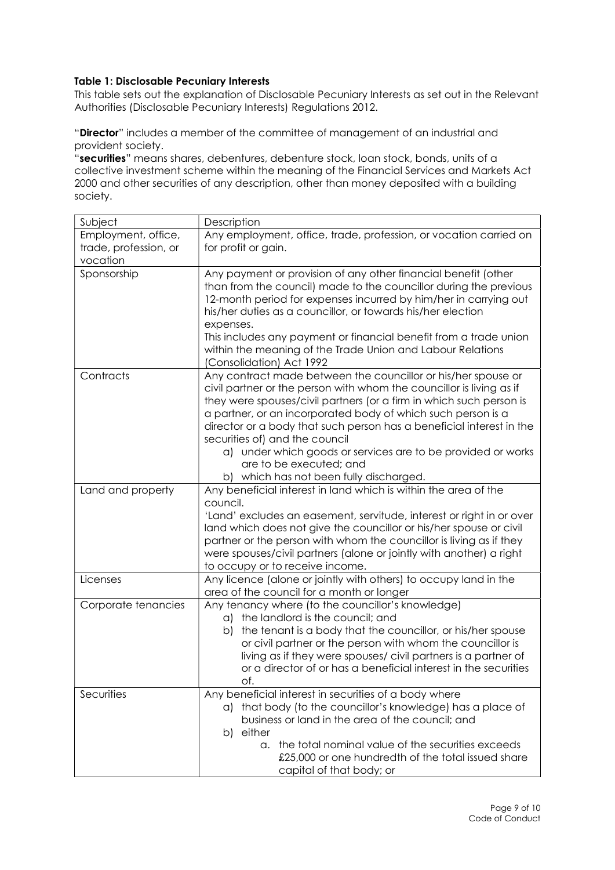## Table 1: Disclosable Pecuniary Interests

This table sets out the explanation of Disclosable Pecuniary Interests as set out in the Relevant Authorities (Disclosable Pecuniary Interests) Regulations 2012.

"Director" includes a member of the committee of management of an industrial and provident society.

"securities" means shares, debentures, debenture stock, loan stock, bonds, units of a collective investment scheme within the meaning of the Financial Services and Markets Act 2000 and other securities of any description, other than money deposited with a building society.

| Subject               | Description                                                                                                                       |
|-----------------------|-----------------------------------------------------------------------------------------------------------------------------------|
| Employment, office,   | Any employment, office, trade, profession, or vocation carried on                                                                 |
| trade, profession, or | for profit or gain.                                                                                                               |
| vocation              |                                                                                                                                   |
| Sponsorship           | Any payment or provision of any other financial benefit (other                                                                    |
|                       | than from the council) made to the councillor during the previous                                                                 |
|                       | 12-month period for expenses incurred by him/her in carrying out                                                                  |
|                       | his/her duties as a councillor, or towards his/her election                                                                       |
|                       | expenses.<br>This includes any payment or financial benefit from a trade union                                                    |
|                       | within the meaning of the Trade Union and Labour Relations                                                                        |
|                       | (Consolidation) Act 1992                                                                                                          |
| Contracts             | Any contract made between the councillor or his/her spouse or                                                                     |
|                       | civil partner or the person with whom the councillor is living as if                                                              |
|                       | they were spouses/civil partners (or a firm in which such person is                                                               |
|                       | a partner, or an incorporated body of which such person is a                                                                      |
|                       | director or a body that such person has a beneficial interest in the                                                              |
|                       | securities of) and the council                                                                                                    |
|                       | a) under which goods or services are to be provided or works                                                                      |
|                       | are to be executed; and                                                                                                           |
|                       | b) which has not been fully discharged.                                                                                           |
| Land and property     | Any beneficial interest in land which is within the area of the<br>council.                                                       |
|                       | 'Land' excludes an easement, servitude, interest or right in or over                                                              |
|                       | land which does not give the councillor or his/her spouse or civil                                                                |
|                       | partner or the person with whom the councillor is living as if they                                                               |
|                       | were spouses/civil partners (alone or jointly with another) a right                                                               |
|                       | to occupy or to receive income.                                                                                                   |
| Licenses              | Any licence (alone or jointly with others) to occupy land in the                                                                  |
|                       | area of the council for a month or longer                                                                                         |
| Corporate tenancies   | Any tenancy where (to the councillor's knowledge)                                                                                 |
|                       | a) the landlord is the council; and                                                                                               |
|                       | the tenant is a body that the councillor, or his/her spouse<br>b)                                                                 |
|                       | or civil partner or the person with whom the councillor is                                                                        |
|                       | living as if they were spouses/ civil partners is a partner of<br>or a director of or has a beneficial interest in the securities |
|                       | of.                                                                                                                               |
| Securities            | Any beneficial interest in securities of a body where                                                                             |
|                       | a) that body (to the councillor's knowledge) has a place of                                                                       |
|                       | business or land in the area of the council; and                                                                                  |
|                       | b) either                                                                                                                         |
|                       | the total nominal value of the securities exceeds<br>$\alpha$ .                                                                   |
|                       | £25,000 or one hundredth of the total issued share                                                                                |
|                       | capital of that body; or                                                                                                          |